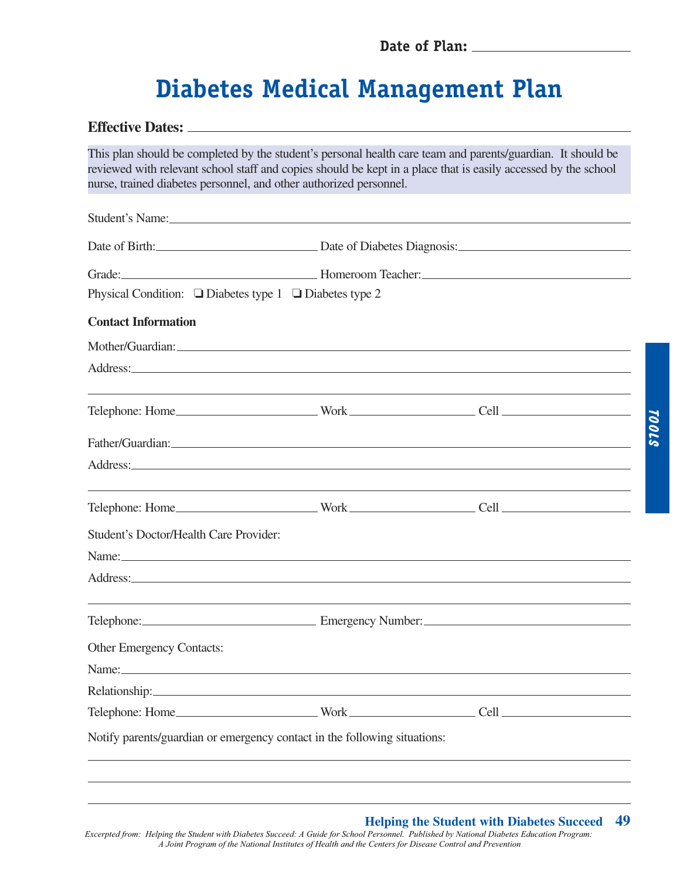# **Diabetes Medical Management Plan**

### **Effective Dates:**

This plan should be completed by the student's personal health care team and parents/guardian. It should be reviewed with relevant school staff and copies should be kept in a place that is easily accessed by the school nurse, trained diabetes personnel, and other authorized personnel.

| Student's Name:                                                                                                                                                                                                                |                                                       |  |  |  |  |  |
|--------------------------------------------------------------------------------------------------------------------------------------------------------------------------------------------------------------------------------|-------------------------------------------------------|--|--|--|--|--|
|                                                                                                                                                                                                                                | Date of Birth: <u>Contract of Diabetes Diagnosis:</u> |  |  |  |  |  |
|                                                                                                                                                                                                                                |                                                       |  |  |  |  |  |
| Physical Condition: $\Box$ Diabetes type 1 $\Box$ Diabetes type 2                                                                                                                                                              |                                                       |  |  |  |  |  |
| <b>Contact Information</b>                                                                                                                                                                                                     |                                                       |  |  |  |  |  |
| Mother/Guardian: Notified and the service of the service of the service of the service of the service of the service of the service of the service of the service of the service of the service of the service of the service  |                                                       |  |  |  |  |  |
| Address: Andreas Address and Address and Address and Address and Address and Address and Address and Address and Address and Address and Address and Address and Address and Address and Address and Address and Address and A |                                                       |  |  |  |  |  |
| <u> 1989 - Andrea San Andrea San Andrea San Andrea San Andrea San Andrea San Andrea San Andrea San Andrea San Andr</u>                                                                                                         |                                                       |  |  |  |  |  |
|                                                                                                                                                                                                                                |                                                       |  |  |  |  |  |
| Address:                                                                                                                                                                                                                       |                                                       |  |  |  |  |  |
|                                                                                                                                                                                                                                |                                                       |  |  |  |  |  |
| Student's Doctor/Health Care Provider:                                                                                                                                                                                         |                                                       |  |  |  |  |  |
|                                                                                                                                                                                                                                |                                                       |  |  |  |  |  |
| Address: Andreas Address: Address: Address: Address: Address: Address: Address: Address: Address: Address: Address: Address: Address: Address: Address: Address: Address: Address: Address: Address: Address: Address: Address |                                                       |  |  |  |  |  |
|                                                                                                                                                                                                                                |                                                       |  |  |  |  |  |
| Other Emergency Contacts:                                                                                                                                                                                                      |                                                       |  |  |  |  |  |
| Name: Name and the second contract of the second contract of the second contract of the second contract of the second contract of the second contract of the second contract of the second contract of the second contract of  |                                                       |  |  |  |  |  |
|                                                                                                                                                                                                                                |                                                       |  |  |  |  |  |
|                                                                                                                                                                                                                                |                                                       |  |  |  |  |  |
| Notify parents/guardian or emergency contact in the following situations:                                                                                                                                                      |                                                       |  |  |  |  |  |
|                                                                                                                                                                                                                                |                                                       |  |  |  |  |  |

Tools

## **Helping the Student with Diabetes Succeed 49**

*Excerpted from: Helping the Student with Diabetes Succeed: A Guide for School Personnel. Published by National Diabetes Education Program: A Joint Program of the National Institutes of Health and the Centers for Disease Control and Prevention*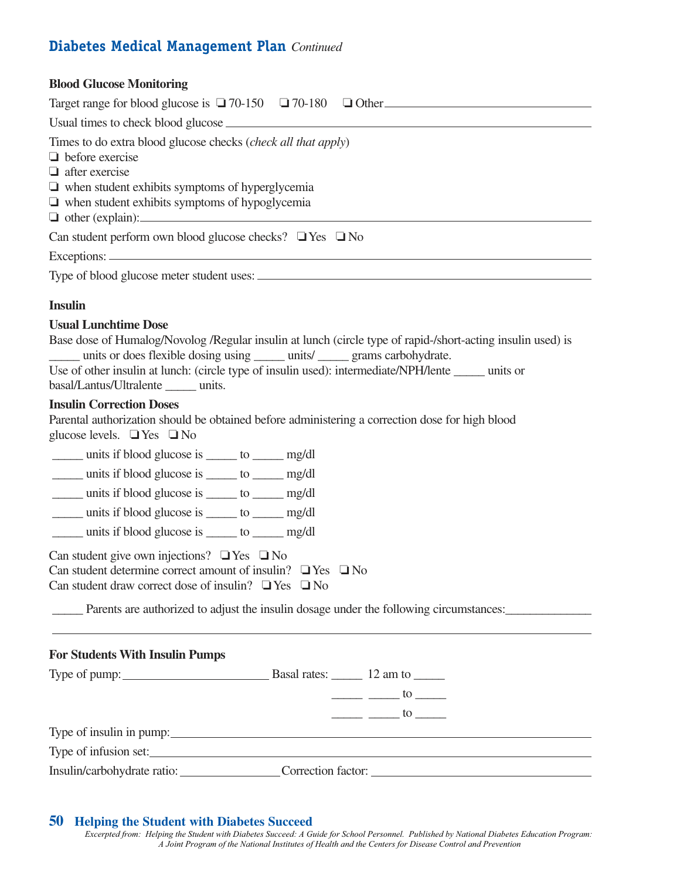# **Diabetes Medical Management Plan** *Continued*

| <b>Blood Glucose Monitoring</b>                                                                                                                                                                                                                                                                                                                                                                                                                                                                                                                                                                                                                                   |
|-------------------------------------------------------------------------------------------------------------------------------------------------------------------------------------------------------------------------------------------------------------------------------------------------------------------------------------------------------------------------------------------------------------------------------------------------------------------------------------------------------------------------------------------------------------------------------------------------------------------------------------------------------------------|
| Target range for blood glucose is $\Box$ 70-150 $\Box$ 70-180 $\Box$ Other                                                                                                                                                                                                                                                                                                                                                                                                                                                                                                                                                                                        |
|                                                                                                                                                                                                                                                                                                                                                                                                                                                                                                                                                                                                                                                                   |
| Times to do extra blood glucose checks ( <i>check all that apply</i> )<br>$\Box$ before exercise<br>$\Box$ after exercise<br>$\Box$ when student exhibits symptoms of hyperglycemia<br>$\Box$ when student exhibits symptoms of hypoglycemia<br>$\Box$ other (explain): $\Box$                                                                                                                                                                                                                                                                                                                                                                                    |
| Can student perform own blood glucose checks? $\Box$ Yes $\Box$ No                                                                                                                                                                                                                                                                                                                                                                                                                                                                                                                                                                                                |
|                                                                                                                                                                                                                                                                                                                                                                                                                                                                                                                                                                                                                                                                   |
|                                                                                                                                                                                                                                                                                                                                                                                                                                                                                                                                                                                                                                                                   |
| <b>Insulin</b>                                                                                                                                                                                                                                                                                                                                                                                                                                                                                                                                                                                                                                                    |
| <b>Usual Lunchtime Dose</b><br>Base dose of Humalog/Novolog /Regular insulin at lunch (circle type of rapid-/short-acting insulin used) is<br>units or does flexible dosing using ______ units/ ______ grams carbohydrate.<br>Use of other insulin at lunch: (circle type of insulin used): intermediate/NPH/lente _____ units or<br>basal/Lantus/Ultralente units.                                                                                                                                                                                                                                                                                               |
| <b>Insulin Correction Doses</b><br>Parental authorization should be obtained before administering a correction dose for high blood<br>glucose levels. $\Box$ Yes $\Box$ No                                                                                                                                                                                                                                                                                                                                                                                                                                                                                        |
| _____ units if blood glucose is _____ to ______ mg/dl                                                                                                                                                                                                                                                                                                                                                                                                                                                                                                                                                                                                             |
| _____ units if blood glucose is _____ to ______ mg/dl                                                                                                                                                                                                                                                                                                                                                                                                                                                                                                                                                                                                             |
| units if blood glucose is _____ to ______ mg/dl                                                                                                                                                                                                                                                                                                                                                                                                                                                                                                                                                                                                                   |
| _____ units if blood glucose is _____ to _____ mg/dl                                                                                                                                                                                                                                                                                                                                                                                                                                                                                                                                                                                                              |
| units if blood glucose is _____ to ______ mg/dl                                                                                                                                                                                                                                                                                                                                                                                                                                                                                                                                                                                                                   |
| Can student give own injections? $\Box$ Yes $\Box$ No<br>Can student determine correct amount of insulin? $\Box$ Yes $\Box$ No<br>Can student draw correct dose of insulin? $\Box$ Yes $\Box$ No<br>Parents are authorized to adjust the insulin dosage under the following circumstances:                                                                                                                                                                                                                                                                                                                                                                        |
|                                                                                                                                                                                                                                                                                                                                                                                                                                                                                                                                                                                                                                                                   |
| <b>For Students With Insulin Pumps</b>                                                                                                                                                                                                                                                                                                                                                                                                                                                                                                                                                                                                                            |
| Type of pump: Basal rates: 12 am to 1.12 am to 1.12 am to 1.12 am to 1.12 am to 1.12 am to 1.12 am to 1.12 am to 1.12 am to 1.12 am to 1.12 am to 1.12 am to 1.12 am to 1.12 am to 1.12 am to 1.12 am to 1.12 am to 1.12 am to<br>$\frac{1}{\sqrt{1-\frac{1}{2}}}\frac{1}{\sqrt{1-\frac{1}{2}}}\frac{1}{\sqrt{1-\frac{1}{2}}}\frac{1}{\sqrt{1-\frac{1}{2}}}\frac{1}{\sqrt{1-\frac{1}{2}}}\frac{1}{\sqrt{1-\frac{1}{2}}}\frac{1}{\sqrt{1-\frac{1}{2}}}\frac{1}{\sqrt{1-\frac{1}{2}}}\frac{1}{\sqrt{1-\frac{1}{2}}}\frac{1}{\sqrt{1-\frac{1}{2}}}\frac{1}{\sqrt{1-\frac{1}{2}}}\frac{1}{\sqrt{1-\frac{1}{2}}}\frac{1}{\sqrt{1-\frac{1}{2}}}\frac{1}{\sqrt{1-\frac{$ |
| $\frac{1}{\sqrt{1-\frac{1}{2}}}\frac{1}{\sqrt{1-\frac{1}{2}}}\cos{\frac{\pi \pi}{2}}$                                                                                                                                                                                                                                                                                                                                                                                                                                                                                                                                                                             |
|                                                                                                                                                                                                                                                                                                                                                                                                                                                                                                                                                                                                                                                                   |
| Type of infusion set:                                                                                                                                                                                                                                                                                                                                                                                                                                                                                                                                                                                                                                             |
| Insulin/carbohydrate ratio: Correction factor: Correction factor:                                                                                                                                                                                                                                                                                                                                                                                                                                                                                                                                                                                                 |

#### **50 Helping the Student with Diabetes Succeed**

*Excerpted from: Helping the Student with Diabetes Succeed: A Guide for School Personnel. Published by National Diabetes Education Program: A Joint Program of the National Institutes of Health and the Centers for Disease Control and Prevention*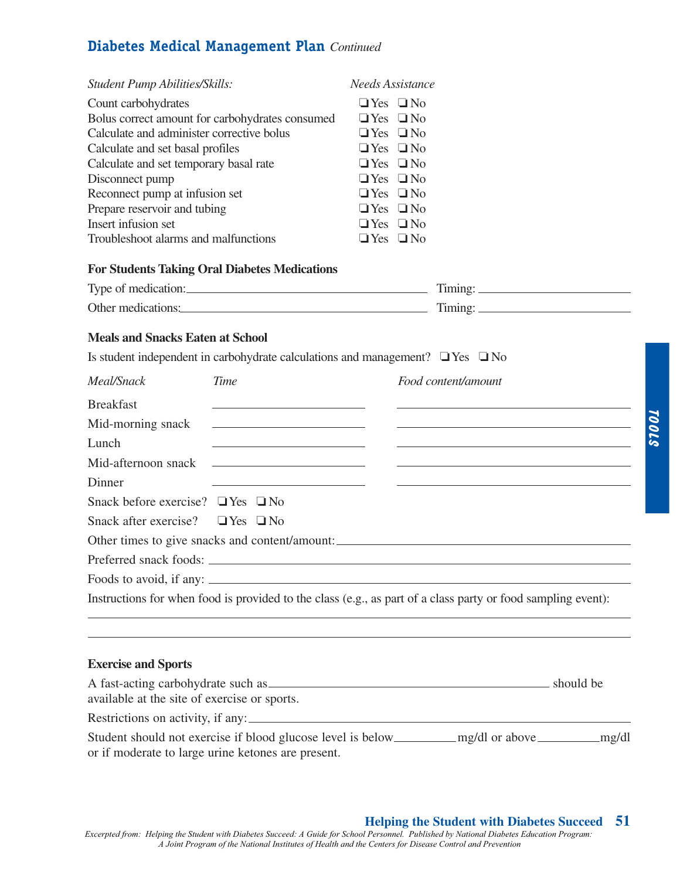# **Diabetes Medical Management Plan** *Continued*

| <b>Student Pump Abilities/Skills:</b><br>Count carbohydrates<br>Calculate and administer corrective bolus<br>Calculate and set basal profiles<br>Calculate and set temporary basal rate<br>Disconnect pump<br>Reconnect pump at infusion set<br>Prepare reservoir and tubing<br>Insert infusion set<br>Troubleshoot alarms and malfunctions | Bolus correct amount for carbohydrates consumed<br><b>For Students Taking Oral Diabetes Medications</b><br>Type of medication: | <b>Needs Assistance</b><br>$\Box$ Yes $\Box$ No<br>$\Box$ Yes $\Box$ No<br>$\Box$ Yes $\Box$ No<br>$\Box$ Yes $\Box$ No<br>$\Box$ Yes $\Box$ No<br>$\Box$ Yes $\Box$ No<br>$\Box$ Yes $\Box$ No<br>$\Box$ Yes $\Box$ No<br>$\Box$ Yes $\Box$ No<br>$\Box$ Yes $\Box$ No |                                                              |  |
|---------------------------------------------------------------------------------------------------------------------------------------------------------------------------------------------------------------------------------------------------------------------------------------------------------------------------------------------|--------------------------------------------------------------------------------------------------------------------------------|-------------------------------------------------------------------------------------------------------------------------------------------------------------------------------------------------------------------------------------------------------------------------|--------------------------------------------------------------|--|
|                                                                                                                                                                                                                                                                                                                                             | Other medications: Timing: Timing:                                                                                             |                                                                                                                                                                                                                                                                         |                                                              |  |
| <b>Meals and Snacks Eaten at School</b>                                                                                                                                                                                                                                                                                                     | Is student independent in carbohydrate calculations and management? $\Box$ Yes $\Box$ No                                       |                                                                                                                                                                                                                                                                         |                                                              |  |
| Meal/Snack                                                                                                                                                                                                                                                                                                                                  | <b>Time</b>                                                                                                                    |                                                                                                                                                                                                                                                                         | Food content/amount                                          |  |
| <b>Breakfast</b>                                                                                                                                                                                                                                                                                                                            | the control of the control of the control of the control of the control of                                                     |                                                                                                                                                                                                                                                                         |                                                              |  |
| Mid-morning snack                                                                                                                                                                                                                                                                                                                           | the control of the control of the control of the control of the control of                                                     |                                                                                                                                                                                                                                                                         | <u> 1989 - Johann Stein, mars and de Brasilian (b. 1989)</u> |  |
| Lunch                                                                                                                                                                                                                                                                                                                                       | <u> 1989 - Johann John Stone, meil in der Stone besteht der Stone besteht der Stone besteht der Stone besteht der</u>          |                                                                                                                                                                                                                                                                         |                                                              |  |
| Mid-afternoon snack                                                                                                                                                                                                                                                                                                                         | <u> 1999 - Johann Stein, mars an deus an deus Angels</u>                                                                       |                                                                                                                                                                                                                                                                         |                                                              |  |
| Dinner                                                                                                                                                                                                                                                                                                                                      |                                                                                                                                |                                                                                                                                                                                                                                                                         |                                                              |  |
| Snack before exercise? $\Box$ Yes $\Box$ No                                                                                                                                                                                                                                                                                                 |                                                                                                                                |                                                                                                                                                                                                                                                                         |                                                              |  |
| Snack after exercise? $\Box$ Yes $\Box$ No                                                                                                                                                                                                                                                                                                  |                                                                                                                                |                                                                                                                                                                                                                                                                         |                                                              |  |
|                                                                                                                                                                                                                                                                                                                                             | Other times to give snacks and content/amount: __________________________________                                              |                                                                                                                                                                                                                                                                         |                                                              |  |
|                                                                                                                                                                                                                                                                                                                                             | Preferred snack foods:                                                                                                         |                                                                                                                                                                                                                                                                         |                                                              |  |
|                                                                                                                                                                                                                                                                                                                                             |                                                                                                                                |                                                                                                                                                                                                                                                                         |                                                              |  |
|                                                                                                                                                                                                                                                                                                                                             | Instructions for when food is provided to the class (e.g., as part of a class party or food sampling event):                   |                                                                                                                                                                                                                                                                         |                                                              |  |
|                                                                                                                                                                                                                                                                                                                                             |                                                                                                                                |                                                                                                                                                                                                                                                                         |                                                              |  |
|                                                                                                                                                                                                                                                                                                                                             |                                                                                                                                |                                                                                                                                                                                                                                                                         |                                                              |  |
| <b>Exercise and Sports</b>                                                                                                                                                                                                                                                                                                                  |                                                                                                                                |                                                                                                                                                                                                                                                                         |                                                              |  |
|                                                                                                                                                                                                                                                                                                                                             | A fast-acting carbohydrate such as solution of the state of the should be should be should be                                  |                                                                                                                                                                                                                                                                         |                                                              |  |
| available at the site of exercise or sports.                                                                                                                                                                                                                                                                                                |                                                                                                                                |                                                                                                                                                                                                                                                                         |                                                              |  |
|                                                                                                                                                                                                                                                                                                                                             | Restrictions on activity, if any:                                                                                              |                                                                                                                                                                                                                                                                         |                                                              |  |
|                                                                                                                                                                                                                                                                                                                                             | or if moderate to large urine ketones are present.                                                                             |                                                                                                                                                                                                                                                                         |                                                              |  |

## **Helping the Student with Diabetes Succeed 51**